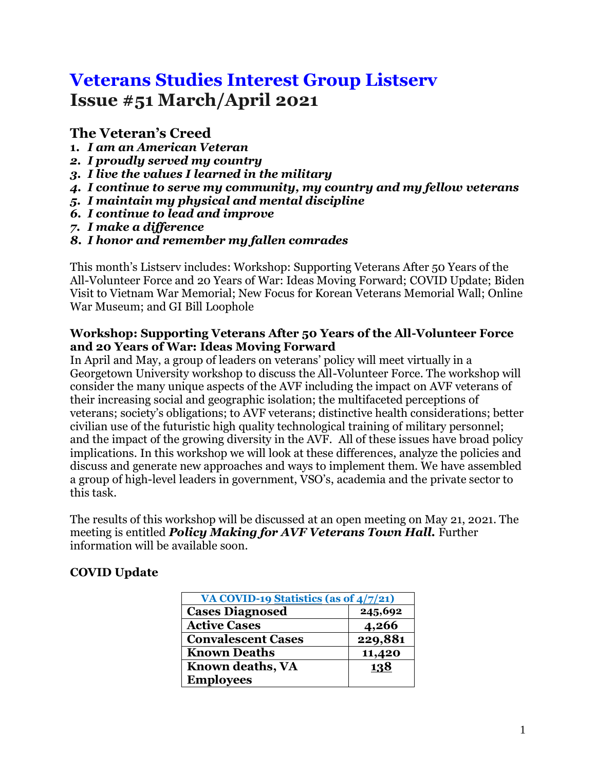# **Veterans Studies Interest Group Listserv Issue #51 March/April 2021**

# **The Veteran's Creed**

- **1.** *I am an American Veteran*
- *2. I proudly served my country*
- *3. I live the values I learned in the military*
- *4. I continue to serve my community, my country and my fellow veterans*
- *5. I maintain my physical and mental discipline*
- *6. I continue to lead and improve*
- *7. I make a difference*
- *8. I honor and remember my fallen comrades*

This month's Listserv includes: Workshop: Supporting Veterans After 50 Years of the All-Volunteer Force and 20 Years of War: Ideas Moving Forward; COVID Update; Biden Visit to Vietnam War Memorial; New Focus for Korean Veterans Memorial Wall; Online War Museum; and GI Bill Loophole

#### **Workshop: Supporting Veterans After 50 Years of the All-Volunteer Force and 20 Years of War: Ideas Moving Forward**

In April and May, a group of leaders on veterans' policy will meet virtually in a Georgetown University workshop to discuss the All-Volunteer Force. The workshop will consider the many unique aspects of the AVF including the impact on AVF veterans of their increasing social and geographic isolation; the multifaceted perceptions of veterans; society's obligations; to AVF veterans; distinctive health considerations; better civilian use of the futuristic high quality technological training of military personnel; and the impact of the growing diversity in the AVF. All of these issues have broad policy implications. In this workshop we will look at these differences, analyze the policies and discuss and generate new approaches and ways to implement them. We have assembled a group of high-level leaders in government, VSO's, academia and the private sector to this task.

The results of this workshop will be discussed at an open meeting on May 21, 2021. The meeting is entitled *Policy Making for AVF Veterans Town Hall.* Further information will be available soon.

### **COVID Update**

| VA COVID-19 Statistics (as of $4/7/21$ ) |         |
|------------------------------------------|---------|
| <b>Cases Diagnosed</b>                   | 245,692 |
| <b>Active Cases</b>                      | 4,266   |
| <b>Convalescent Cases</b>                | 229,881 |
| <b>Known Deaths</b>                      | 11,420  |
| Known deaths, VA                         | 138     |
| <b>Employees</b>                         |         |
|                                          |         |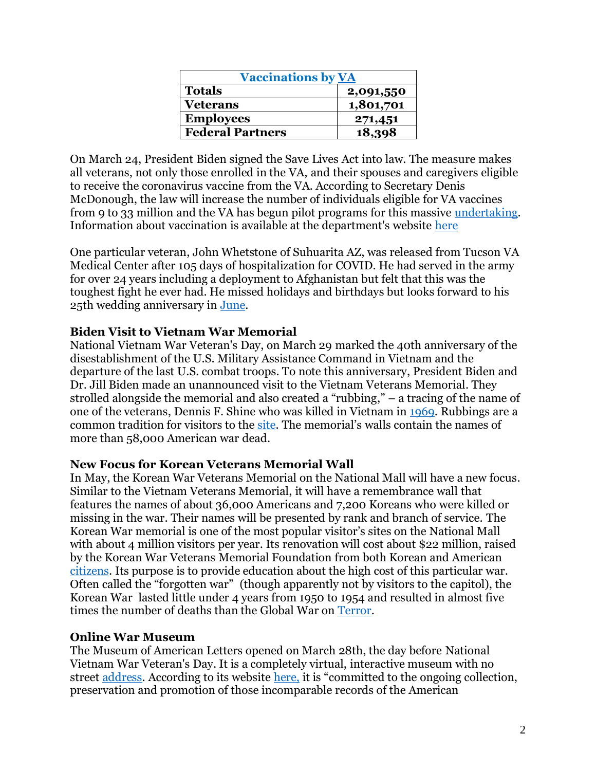| <b>Vaccinations by VA</b> |           |
|---------------------------|-----------|
| <b>Totals</b>             | 2,091,550 |
| <b>Veterans</b>           | 1,801,701 |
| <b>Employees</b>          | 271,451   |
| <b>Federal Partners</b>   | 18,398    |

On March 24, President Biden signed the Save Lives Act into law. The measure makes all veterans, not only those enrolled in the VA, and their spouses and caregivers eligible to receive the coronavirus vaccine from the VA. According to Secretary Denis McDonough, the law will increase the number of individuals eligible for VA vaccines from 9 to 33 million and the VA has begun pilot programs for this massive [undertaking.](https://www.militarytimes.com/veterans/2021/03/24/va-to-begin-pilot-programs-to-get-covid-vaccines-to-all-vets-spouses-caregivers/) Information about vaccination is available at the department's website [here](https://www.va.gov/health-care/covid-19-vaccine/)

One particular veteran, John Whetstone of Suhuarita AZ, was released from Tucson VA Medical Center after 105 days of hospitalization for COVID. He had served in the army for over 24 years including a deployment to Afghanistan but felt that this was the toughest fight he ever had. He missed holidays and birthdays but looks forward to his 25th wedding anniversary in [June.](https://www.kold.com/2021/03/24/homecoming-hero-veteran-released-hospital-after-day-battle-with-covid-/)

#### **Biden Visit to Vietnam War Memorial**

National Vietnam War Veteran's Day, on March 29 marked the 40th anniversary of the disestablishment of the U.S. Military Assistance Command in Vietnam and the departure of the last U.S. combat troops. To note this anniversary, President Biden and Dr. Jill Biden made an unannounced visit to the Vietnam Veterans Memorial. They strolled alongside the memorial and also created a "rubbing," – a tracing of the name of one of the veterans, Dennis F. Shine who was killed in Vietnam in [1969.](https://people.com/politics/bidens-at-vietnam-memorial/) Rubbings are a common tradition for visitors to the [site.](https://www.washingtonpost.com/politics/bidens-pay-tribute-at-vietnam-veterans-memorial/2021/03/29/ca4aff3e-90de-11eb-aadc-af78701a30ca_story.html) The memorial's walls contain the names of more than 58,000 American war dead.

#### **New Focus for Korean Veterans Memorial Wall**

In May, the Korean War Veterans Memorial on the National Mall will have a new focus. Similar to the Vietnam Veterans Memorial, it will have a remembrance wall that features the names of about 36,000 Americans and 7,200 Koreans who were killed or missing in the war. Their names will be presented by rank and branch of service. The Korean War memorial is one of the most popular visitor's sites on the National Mall with about 4 million visitors per year. Its renovation will cost about \$22 million, raised by the Korean War Veterans Memorial Foundation from both Korean and American [citizens.](https://www.militarytimes.com/news/your-military/2021/04/06/thousands-of-name-errors-possible-in-new-korean-war-remembrance-wall-advocates-fear/) Its purpose is to provide education about the high cost of this particular war. Often called the "forgotten war" (though apparently not by visitors to the capitol), the Korean War lasted little under 4 years from 1950 to 1954 and resulted in almost five times the number of deaths than the Global War o[n Terror.](https://www.militarytimes.com/news/your-military/2021/04/06/thousands-of-name-errors-possible-in-new-korean-war-remembrance-wall-advocates-fear/)

#### **Online War Museum**

The Museum of American Letters opened on March 28th, the day before National Vietnam War Veteran's Day. It is a completely virtual, interactive museum with no street [address.](https://www.chapman.edu/research/institutes-and-centers/cawl/index.aspx) According to its website [here,](https://www.chapman.edu/research/institutes-and-centers/cawl/index.aspx) it is "committed to the ongoing collection, preservation and promotion of those incomparable records of the American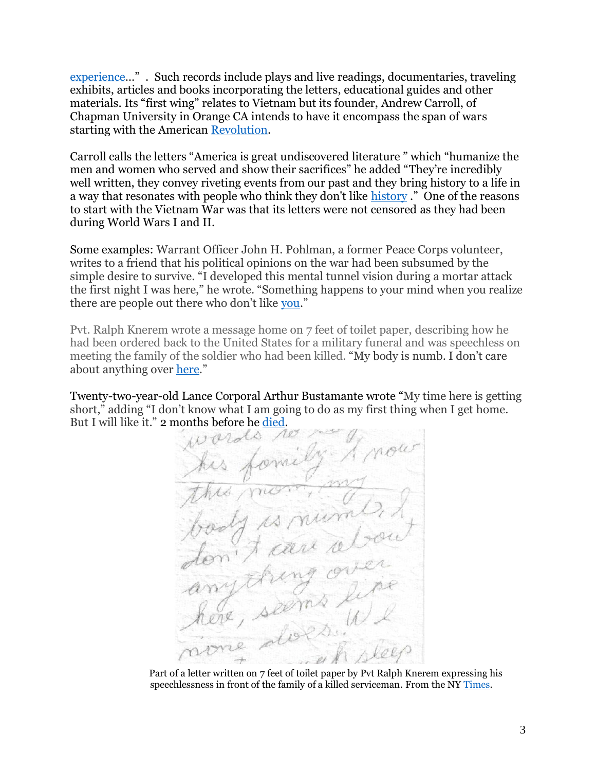[experience](https://www.chapman.edu/research/institutes-and-centers/cawl/index.aspx)…" . Such records include plays and live readings, documentaries, traveling exhibits, articles and books incorporating the letters, educational guides and other materials. Its "first wing" relates to Vietnam but its founder, Andrew Carroll, of Chapman University in Orange CA intends to have it encompass the span of wars starting with the American [Revolution.](https://www.nytimes.com/2021/03/28/arts/design/Museum-of-American-War-Letters.html?searchResultPosition=4)

Carroll calls the letters "America is great undiscovered literature " which "humanize the men and women who served and show their sacrifices" he added "They're incredibly well written, they convey riveting events from our past and they bring history to a life in a way that resonates with people who think they don't like [history](https://www.nytimes.com/2021/03/28/arts/design/Museum-of-American-War-Letters.html?searchResultPosition=4)." One of the reasons to start with the Vietnam War was that its letters were not censored as they had been during World Wars I and II.

Some examples: Warrant Officer John H. Pohlman, a former Peace Corps volunteer, writes to a friend that his political opinions on the war had been subsumed by the simple desire to survive. "I developed this mental tunnel vision during a mortar attack the first night I was here," he wrote. "Something happens to your mind when you realize there are people out there who don't like [you](https://www.nytimes.com/2021/03/28/arts/design/Museum-of-American-War-Letters.html?searchResultPosition=4)."

Pvt. Ralph Knerem wrote a message home on 7 feet of toilet paper, describing how he had been ordered back to the United States for a military funeral and was speechless on meeting the family of the soldier who had been killed. "My body is numb. I don't care about anything over [here](https://www.nytimes.com/2021/03/28/arts/design/Museum-of-American-War-Letters.html?searchResultPosition=4)."

Twenty-two-year-old Lance Corporal Arthur Bustamante wrote "My time here is getting short," adding "I don't know what I am going to do as my first thing when I get home. But I will like it." 2 months before he [died.](https://www.nytimes.com/2021/03/28/arts/design/Museum-of-American-War-Letters.html?searchResultPosition=4)

 Part of a letter written on 7 feet of toilet paper by Pvt Ralph Knerem expressing his speechlessness in front of the family of a killed serviceman. From the NY [Times.](https://www.nytimes.com/2021/03/28/arts/design/Museum-of-American-War-Letters.html?searchResultPosition=4)